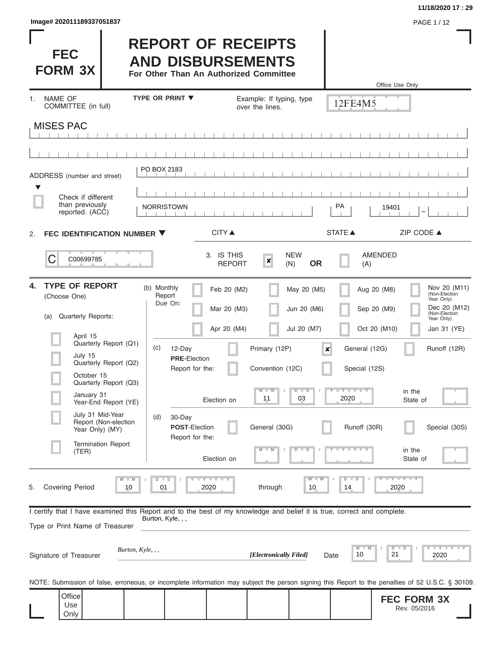| Image# 202011189337051837 | PAGE 1/12 |
|---------------------------|-----------|
|---------------------------|-----------|

à.

1. NAME OF

Only

#### **11/18/2020 17 : 29**

I

Office Use Only

| <b>FEC</b><br><b>FORM 3X</b>   | <b>REPORT OF RECEIPTS</b><br><b>AND DISBURSEMENTS</b><br>For Other Than An Authorized Committee |                                             |         |
|--------------------------------|-------------------------------------------------------------------------------------------------|---------------------------------------------|---------|
| NAME OF<br>COMMITTEE (in full) | <b>TYPE OR PRINT V</b>                                                                          | Example: If typing, type<br>over the lines. | 12FF4M5 |
| MISES PAC                      |                                                                                                 |                                             |         |

|    | <b>MISES PAC</b>                                                                                                                                                                                                                                                                                                                     |                                                                                                                                                                                                                                                                                                                                                                                                                                                                                                                                                                    |                                                                                                                                                                                        |
|----|--------------------------------------------------------------------------------------------------------------------------------------------------------------------------------------------------------------------------------------------------------------------------------------------------------------------------------------|--------------------------------------------------------------------------------------------------------------------------------------------------------------------------------------------------------------------------------------------------------------------------------------------------------------------------------------------------------------------------------------------------------------------------------------------------------------------------------------------------------------------------------------------------------------------|----------------------------------------------------------------------------------------------------------------------------------------------------------------------------------------|
|    |                                                                                                                                                                                                                                                                                                                                      |                                                                                                                                                                                                                                                                                                                                                                                                                                                                                                                                                                    |                                                                                                                                                                                        |
| ▼  | ADDRESS (number and street)<br>Check if different<br>than previously<br>reported. (ACC)                                                                                                                                                                                                                                              | PO BOX 2183<br>PA<br><b>NORRISTOWN</b><br>19401                                                                                                                                                                                                                                                                                                                                                                                                                                                                                                                    |                                                                                                                                                                                        |
| 2. | FEC IDENTIFICATION NUMBER ▼                                                                                                                                                                                                                                                                                                          | <b>STATE ▲</b><br><b>CITY ▲</b>                                                                                                                                                                                                                                                                                                                                                                                                                                                                                                                                    | ZIP CODE ▲                                                                                                                                                                             |
|    | C<br>C00699785                                                                                                                                                                                                                                                                                                                       | 3. IS THIS<br><b>NEW</b><br><b>AMENDED</b><br>×<br><b>OR</b><br><b>REPORT</b><br>(N)<br>(A)                                                                                                                                                                                                                                                                                                                                                                                                                                                                        |                                                                                                                                                                                        |
| 4. | <b>TYPE OF REPORT</b><br>(Choose One)<br><b>Quarterly Reports:</b><br>(a)<br>April 15<br>Quarterly Report (Q1)<br>July 15<br>Quarterly Report (Q2)<br>October 15<br>Quarterly Report (Q3)<br>January 31<br>Year-End Report (YE)<br>July 31 Mid-Year<br>Report (Non-election<br>Year Only) (MY)<br><b>Termination Report</b><br>(TER) | (b) Monthly<br>Feb 20 (M2)<br>May 20 (M5)<br>Aug 20 (M8)<br>Report<br>Due On:<br>Jun 20 (M6)<br>Sep 20 (M9)<br>Mar 20 (M3)<br>Apr 20 (M4)<br>Oct 20 (M10)<br>Jul 20 (M7)<br>(c)<br>12-Day<br>Primary (12P)<br>General (12G)<br>$\boldsymbol{x}$<br><b>PRE-Election</b><br>Report for the:<br>Convention (12C)<br>Special (12S)<br>$M - M$<br>$D$ $D$<br>Y I Y I<br>2020<br>11<br>03<br>Election on<br>30-Day<br>(d)<br><b>POST-Election</b><br>General (30G)<br>Runoff (30R)<br>Report for the:<br>$-W$<br>$+Y+Y+Y$<br>ъ<br>$\overline{\mathbb{D}}$<br>Election on | Nov 20 (M11)<br>(Non-Election<br>Year Only)<br>Dec 20 (M12)<br>(Non-Election<br>Year Only)<br>Jan 31 (YE)<br>Runoff (12R)<br>in the<br>State of<br>Special (30S)<br>in the<br>State of |
| ၁. | <b>Covering Period</b><br>Įυ                                                                                                                                                                                                                                                                                                         | <b>LYLYLY</b><br>$M - M$<br>$\overline{\mathbf{y}}$<br>$D$ $D$<br>$D$ $D$<br>2020<br>through<br>$10$<br>2020<br>Q1                                                                                                                                                                                                                                                                                                                                                                                                                                                 | $T$ $Y$ $T$ $Y$                                                                                                                                                                        |
|    | Type or Print Name of Treasurer                                                                                                                                                                                                                                                                                                      | I certify that I have examined this Report and to the best of my knowledge and belief it is true, correct and complete.<br>Burton, Kyle, , ,                                                                                                                                                                                                                                                                                                                                                                                                                       |                                                                                                                                                                                        |
|    | Burton, Kyle, , ,<br>Signature of Treasurer                                                                                                                                                                                                                                                                                          | D<br>[Electronically Filed]<br>10<br>21<br>Date                                                                                                                                                                                                                                                                                                                                                                                                                                                                                                                    | $T - Y = T - Y$<br>2020                                                                                                                                                                |
|    |                                                                                                                                                                                                                                                                                                                                      | NOTE: Submission of false, erroneous, or incomplete information may subject the person signing this Report to the penalties of 52 U.S.C. § 30109.                                                                                                                                                                                                                                                                                                                                                                                                                  |                                                                                                                                                                                        |
|    | Office<br>Use                                                                                                                                                                                                                                                                                                                        |                                                                                                                                                                                                                                                                                                                                                                                                                                                                                                                                                                    | <b>FEC FORM 3X</b><br>Rev. 05/2016                                                                                                                                                     |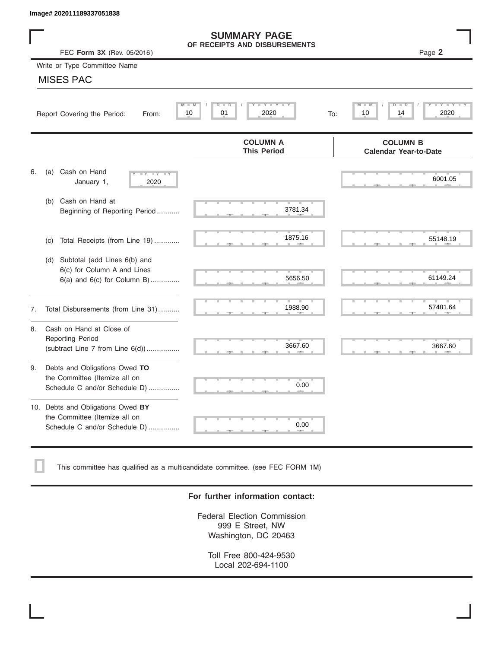|    | Image# 202011189337051838                                                                           |                                                      |                                                 |
|----|-----------------------------------------------------------------------------------------------------|------------------------------------------------------|-------------------------------------------------|
|    | FEC Form 3X (Rev. 05/2016)                                                                          | <b>SUMMARY PAGE</b><br>OF RECEIPTS AND DISBURSEMENTS | Page 2                                          |
|    | Write or Type Committee Name                                                                        |                                                      |                                                 |
|    | <b>MISES PAC</b>                                                                                    |                                                      |                                                 |
|    | Report Covering the Period:<br>From:                                                                | Y L Y L<br>$M - M$<br>D<br>D<br>2020<br>10<br>01     | M<br>D<br>D<br>2020<br>10<br>14<br>To:          |
|    |                                                                                                     | <b>COLUMN A</b><br><b>This Period</b>                | <b>COLUMN B</b><br><b>Calendar Year-to-Date</b> |
| 6. | Cash on Hand<br>(a)<br>$-Y - Y - IY$<br>January 1,<br>2020                                          |                                                      | 6001.05                                         |
|    | Cash on Hand at<br>(b)<br>Beginning of Reporting Period                                             | 3781.34                                              |                                                 |
|    | Total Receipts (from Line 19)<br>(c)                                                                | 1875.16                                              | 55148.19                                        |
|    | Subtotal (add Lines 6(b) and<br>(d)<br>6(c) for Column A and Lines<br>6(a) and 6(c) for Column B)   | 5656.50                                              | 61149.24                                        |
| 7. | Total Disbursements (from Line 31)                                                                  | 1988.90                                              | 57481.64                                        |
| 8. | Cash on Hand at Close of<br><b>Reporting Period</b><br>(subtract Line $7$ from Line $6(d)$ )        | 3667.60                                              | 3667.60                                         |
| 9. | Debts and Obligations Owed TO<br>the Committee (Itemize all on<br>Schedule C and/or Schedule D)     | 0.00                                                 |                                                 |
|    | 10. Debts and Obligations Owed BY<br>the Committee (Itemize all on<br>Schedule C and/or Schedule D) | т<br>0.00                                            |                                                 |

This committee has qualified as a multicandidate committee. (see FEC FORM 1M)

#### **For further information contact:**

Federal Election Commission 999 E Street, NW Washington, DC 20463

Toll Free 800-424-9530 Local 202-694-1100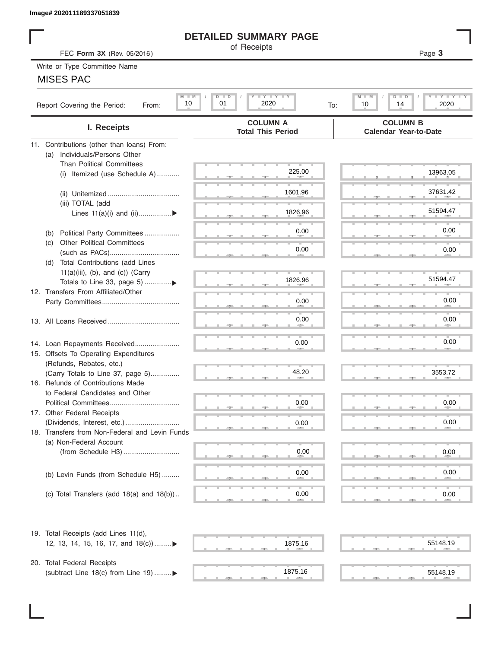## **DETAILED SUMMARY PAGE**

## MISES PAC

|                                                                        | <b>DETAILED SUMMARY PAGE</b>                                                             |                                                      |
|------------------------------------------------------------------------|------------------------------------------------------------------------------------------|------------------------------------------------------|
| FEC Form 3X (Rev. 05/2016)                                             | of Receipts                                                                              | Page 3                                               |
| Write or Type Committee Name                                           |                                                                                          |                                                      |
| <b>MISES PAC</b>                                                       |                                                                                          |                                                      |
| $M$ $M$                                                                | $\mathbf{I}$ $\mathbf{Y}$ $\mathbf{I}$ $\mathbf{Y}$ $\mathbf{I}$ $\mathbf{Y}$<br>$D$ $D$ | $I - Y - I - Y - I - Y$<br>$M$ $M$<br>$D$ $\Box$ $D$ |
| 10<br>Report Covering the Period:<br>From:                             | 01<br>2020<br>To:                                                                        | 14<br>2020<br>10                                     |
| I. Receipts                                                            | <b>COLUMN A</b><br><b>Total This Period</b>                                              | <b>COLUMN B</b><br><b>Calendar Year-to-Date</b>      |
| 11. Contributions (other than loans) From:                             |                                                                                          |                                                      |
| Individuals/Persons Other<br>(a)<br><b>Than Political Committees</b>   |                                                                                          |                                                      |
| Itemized (use Schedule A)<br>(i)                                       | 225.00                                                                                   | 13963.05                                             |
|                                                                        |                                                                                          |                                                      |
|                                                                        | 1601.96                                                                                  | 37631.42                                             |
| (iii) TOTAL (add                                                       |                                                                                          |                                                      |
| Lines $11(a)(i)$ and $(ii)$                                            | 1826.96                                                                                  | 51594.47                                             |
|                                                                        | 0.00                                                                                     | 0.00                                                 |
| Political Party Committees<br>(b)<br><b>Other Political Committees</b> |                                                                                          |                                                      |
| (C)                                                                    | 0.00                                                                                     | 0.00                                                 |
| Total Contributions (add Lines<br>(d)                                  |                                                                                          |                                                      |
| $11(a)(iii)$ , (b), and (c)) (Carry                                    |                                                                                          |                                                      |
|                                                                        | 1826.96                                                                                  | 51594.47                                             |
| 12. Transfers From Affiliated/Other                                    |                                                                                          |                                                      |
|                                                                        | 0.00                                                                                     | 0.00                                                 |
|                                                                        | 0.00                                                                                     | 0.00                                                 |
|                                                                        |                                                                                          |                                                      |
| 14. Loan Repayments Received                                           | 0.00                                                                                     | 0.00                                                 |
| 15. Offsets To Operating Expenditures                                  |                                                                                          |                                                      |
| (Refunds, Rebates, etc.)                                               |                                                                                          |                                                      |
| (Carry Totals to Line 37, page 5)                                      | 48.20                                                                                    | 3553.72                                              |
| 16. Refunds of Contributions Made                                      |                                                                                          |                                                      |
| to Federal Candidates and Other                                        |                                                                                          |                                                      |
| Political Committees                                                   | 0.00                                                                                     | 0.00                                                 |
| 17. Other Federal Receipts<br>(Dividends, Interest, etc.)              | 0.00                                                                                     | 0.00                                                 |
| 18. Transfers from Non-Federal and Levin Funds                         |                                                                                          |                                                      |
| (a) Non-Federal Account                                                |                                                                                          |                                                      |
|                                                                        | 0.00                                                                                     | 0.00                                                 |
|                                                                        |                                                                                          |                                                      |
| (b) Levin Funds (from Schedule H5)                                     | 0.00                                                                                     | 0.00                                                 |
|                                                                        |                                                                                          |                                                      |
| (c) Total Transfers (add $18(a)$ and $18(b)$ )                         | 0.00                                                                                     | 0.00                                                 |
| 19. Total Receipts (add Lines 11(d),                                   |                                                                                          |                                                      |
| 12, 13, 14, 15, 16, 17, and 18(c)                                      | 1875.16                                                                                  | 55148.19                                             |
|                                                                        |                                                                                          |                                                      |
| 20. Total Federal Receipts                                             |                                                                                          |                                                      |
| (subtract Line 18(c) from Line 19) ▶                                   | 1875.16<br>$\frac{1}{2}$                                                                 | 55148.19                                             |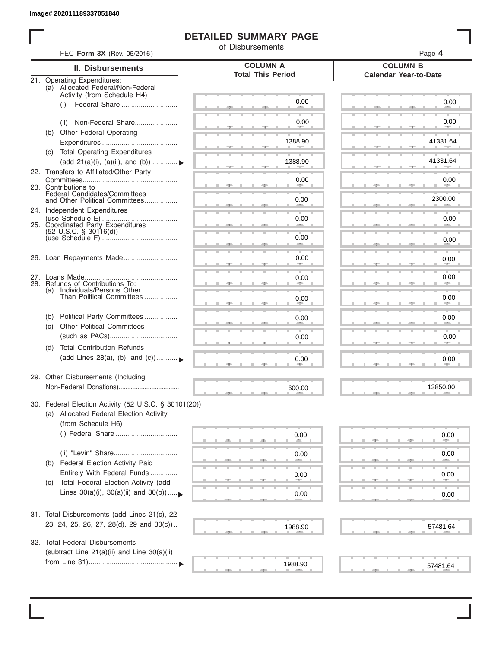## **DETAILED SUMMARY PAGE**

of Disbursements

| <b>II. Disbursements</b>                                                                                               | <b>COLUMN A</b>          | <b>COLUMN B</b>              |
|------------------------------------------------------------------------------------------------------------------------|--------------------------|------------------------------|
|                                                                                                                        | <b>Total This Period</b> | <b>Calendar Year-to-Date</b> |
| 21. Operating Expenditures:<br>(a) Allocated Federal/Non-Federal<br>Activity (from Schedule H4)                        |                          |                              |
| Federal Share<br>(i)                                                                                                   | 0.00                     | 0.00                         |
| Non-Federal Share<br>(ii)                                                                                              | 0.00                     | 0.00                         |
| Other Federal Operating<br>(b)                                                                                         | 1388.90                  | 41331.64                     |
| (c) Total Operating Expenditures<br>(add 21(a)(i), (a)(ii), and (b))                                                   | 1388.90                  | 41331.64                     |
| 22. Transfers to Affiliated/Other Party                                                                                | 0.00                     | 0.00                         |
| 23. Contributions to<br>Federal Candidates/Committees<br>and Other Political Committees                                | 0.00                     | <b>Allen</b><br>2300.00      |
| 24. Independent Expenditures                                                                                           | 0.00                     | 0.00                         |
| 25. Coordinated Party Expenditures<br>$(52 \text{ U.S.C. }$ § 30116(d))                                                |                          |                              |
|                                                                                                                        | 0.00                     | 0.00                         |
| 26. Loan Repayments Made                                                                                               | 0.00                     | 0.00                         |
| 28. Refunds of Contributions To:<br>(a) Individuals/Persons Other                                                      | 0.00                     | 0.00                         |
| Than Political Committees                                                                                              | 0.00                     | 0.00                         |
| Political Party Committees<br>(b)<br><b>Other Political Committees</b><br>(C)                                          | 0.00                     | 0.00                         |
|                                                                                                                        | 0.00                     | 0.00                         |
| <b>Total Contribution Refunds</b><br>(d)<br>(add Lines 28(a), (b), and (c))                                            | 0.00                     | 0.00                         |
| 29. Other Disbursements (Including                                                                                     | 600.00                   | 13850.00                     |
| 30. Federal Election Activity (52 U.S.C. § 30101(20))<br>(a) Allocated Federal Election Activity<br>(from Schedule H6) |                          |                              |
| (i) Federal Share                                                                                                      | 0.00                     | 0.00                         |
| <b>Federal Election Activity Paid</b><br>(b)                                                                           | 0.00                     | 0.00                         |
| Entirely With Federal Funds<br>Total Federal Election Activity (add<br>(C)                                             | 0.00                     | 0.00                         |
| Lines $30(a)(i)$ , $30(a)(ii)$ and $30(b))$                                                                            | 0.00                     | 0.00                         |
| 31. Total Disbursements (add Lines 21(c), 22,                                                                          |                          |                              |
| 23, 24, 25, 26, 27, 28(d), 29 and 30(c))                                                                               | 1988.90                  | 57481.64                     |
| 32. Total Federal Disbursements<br>(subtract Line 21(a)(ii) and Line 30(a)(ii)                                         |                          |                              |
|                                                                                                                        | 1988.90                  | 57481.64                     |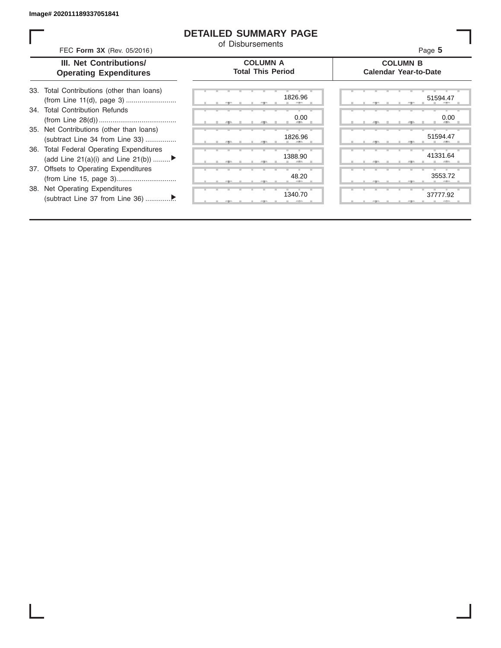### **DETAILED SUMMARY PAGE**

of Disbursements

FEC **Form 3X** (Rev. 05/2016) Page **5**

|  | <b>III. Net Contributions/</b> |  |
|--|--------------------------------|--|
|  | <b>Operating Expenditures</b>  |  |

**COLUMN A Total This Period**

#### **COLUMN B Calendar Year-to-Date**

| 33. Total Contributions (other than loans) |  |
|--------------------------------------------|--|
| 34. Total Contribution Refunds             |  |
|                                            |  |
| 35. Net Contributions (other than loans)   |  |
| (subtract Line 34 from Line 33)            |  |
| 36. Total Federal Operating Expenditures   |  |
| (add Line 21(a)(i) and Line 21(b))         |  |
| 37. Offsets to Operating Expenditures      |  |
|                                            |  |
| 38. Net Operating Expenditures             |  |
|                                            |  |

|   |   | æ     |   |   | 7.     | 1826.96      |
|---|---|-------|---|---|--------|--------------|
|   |   |       |   |   |        | 0.00         |
| ш | ٠ | - 7 - | ш | ш | ÷      | ۰            |
|   |   |       |   |   |        | 1826.96<br>目 |
|   |   | -91   |   |   | - 7 -  |              |
|   |   |       |   |   |        | 1388.90      |
|   |   | $-7-$ |   |   | 一<br>л |              |
| ٠ |   | т     | ж | т | ٠      | 48.20        |
|   |   | ,     |   |   | "      |              |
|   |   | ٠     | ٠ | в |        | ш<br>1340.70 |
|   |   |       |   |   | y      |              |

|       |  |  | 1826.96<br>÷                 |  |  |  |    | 51594.47  |
|-------|--|--|------------------------------|--|--|--|----|-----------|
|       |  |  | 0.00<br><b>All Contracts</b> |  |  |  |    | 0.00<br>æ |
|       |  |  | 1826.96                      |  |  |  | л. | 51594.47  |
|       |  |  | 1388.90<br>٠                 |  |  |  |    | 41331.64  |
|       |  |  | 48.20                        |  |  |  |    | 3553.72   |
| $-7-$ |  |  | 1340.70                      |  |  |  |    | 37777.92  |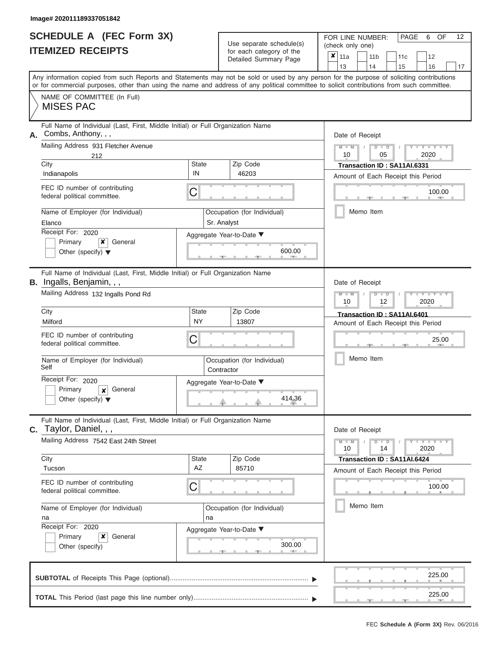# **SCHEDULE A (FEC Form 3X)**

| SCHEDULE A (FEC Form 3X)<br><b>ITEMIZED RECEIPTS</b>                                                                                                                                                                                                                                                                                                                                       | Use separate schedule(s)<br>for each category of the<br>Detailed Summary Page                                                          | 12<br>FOR LINE NUMBER:<br>PAGE<br>6<br>OF<br>(check only one)<br>$x \mid$<br>11a<br>11 <sub>b</sub><br>11c<br>12<br>13<br>14<br>15<br>16<br>17                                      |
|--------------------------------------------------------------------------------------------------------------------------------------------------------------------------------------------------------------------------------------------------------------------------------------------------------------------------------------------------------------------------------------------|----------------------------------------------------------------------------------------------------------------------------------------|-------------------------------------------------------------------------------------------------------------------------------------------------------------------------------------|
| or for commercial purposes, other than using the name and address of any political committee to solicit contributions from such committee.<br>NAME OF COMMITTEE (In Full)<br><b>MISES PAC</b>                                                                                                                                                                                              |                                                                                                                                        | Any information copied from such Reports and Statements may not be sold or used by any person for the purpose of soliciting contributions                                           |
| Full Name of Individual (Last, First, Middle Initial) or Full Organization Name<br>Combs, Anthony, , ,<br>А.<br>Mailing Address 931 Fletcher Avenue<br>212<br>City<br>Indianapolis<br>FEC ID number of contributing<br>federal political committee.<br>Name of Employer (for Individual)<br>Elanco<br>Receipt For: 2020<br>Primary<br>×<br>General<br>Other (specify) $\blacktriangledown$ | Zip Code<br><b>State</b><br>IN<br>46203<br>С<br>Occupation (for Individual)<br>Sr. Analyst<br>Aggregate Year-to-Date ▼<br>600.00       | Date of Receipt<br>$M - M$ /<br>$D$ $D$<br>Y TY T<br>10<br>05<br>2020<br>Transaction ID: SA11AI.6331<br>Amount of Each Receipt this Period<br>100.00<br><b>STATION</b><br>Memo Item |
| Full Name of Individual (Last, First, Middle Initial) or Full Organization Name<br>B. Ingalls, Benjamin, , ,<br>Mailing Address 132 Ingalls Pond Rd<br>City<br>Milford<br>FEC ID number of contributing<br>federal political committee.<br>Name of Employer (for Individual)<br>Self<br>Receipt For: 2020<br>Primary<br>General<br>X<br>Other (specify) $\blacktriangledown$               | Zip Code<br><b>State</b><br><b>NY</b><br>13807<br>С<br>Occupation (for Individual)<br>Contractor<br>Aggregate Year-to-Date ▼<br>414.36 | Date of Receipt<br>$M - M$<br>$D$ $\Box$ $D$<br>Y TYT<br>10<br>2020<br>12<br>Transaction ID: SA11AI.6401<br>Amount of Each Receipt this Period<br>25.00<br>Memo Item                |
| Full Name of Individual (Last, First, Middle Initial) or Full Organization Name<br>Taylor, Daniel, , ,<br>C.<br>Mailing Address 7542 East 24th Street<br>City<br>Tucson<br>FEC ID number of contributing<br>federal political committee.<br>Name of Employer (for Individual)<br>na<br>Receipt For: 2020<br>x<br>Primary<br>General<br>Other (specify)                                     | Zip Code<br><b>State</b><br>AZ<br>85710<br>С<br>Occupation (for Individual)<br>na<br>Aggregate Year-to-Date ▼<br>300.00                | Date of Receipt<br>$M - M$<br>$D$ $D$<br>$+Y+Y+Y$<br>14<br>2020<br>10<br>Transaction ID: SA11AI.6424<br>Amount of Each Receipt this Period<br>100.00<br>Memo Item                   |
|                                                                                                                                                                                                                                                                                                                                                                                            |                                                                                                                                        | 225.00<br>225.00                                                                                                                                                                    |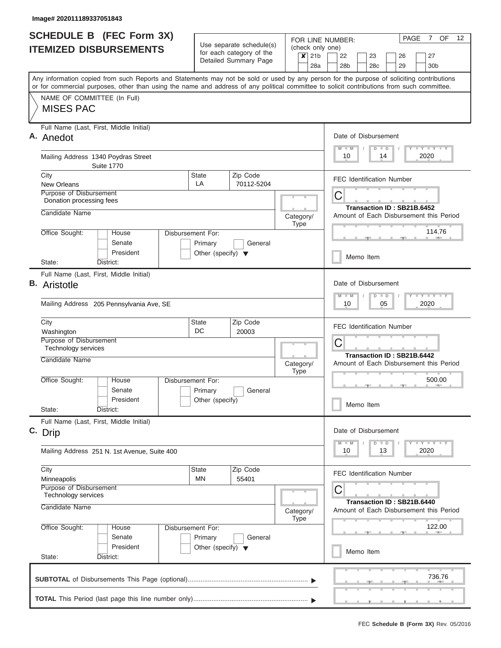| <b>SCHEDULE B</b> (FEC Form 3X)                                                                                                                                                                                                                                                         |                                                 |                                                      |  |                             |     | FOR LINE NUMBER:                        |                                                                       |               |    |    | PAGE | 7 OF                                                                                  |  | 12 |  |
|-----------------------------------------------------------------------------------------------------------------------------------------------------------------------------------------------------------------------------------------------------------------------------------------|-------------------------------------------------|------------------------------------------------------|--|-----------------------------|-----|-----------------------------------------|-----------------------------------------------------------------------|---------------|----|----|------|---------------------------------------------------------------------------------------|--|----|--|
| <b>ITEMIZED DISBURSEMENTS</b>                                                                                                                                                                                                                                                           |                                                 | Use separate schedule(s)<br>for each category of the |  | $\overline{\mathsf{x}}$ 21b |     | (check only one)<br>22                  | 23<br>27<br>26                                                        |               |    |    |      |                                                                                       |  |    |  |
|                                                                                                                                                                                                                                                                                         |                                                 | Detailed Summary Page                                |  |                             | 28a | 28b                                     | 28c                                                                   |               |    | 29 |      | 30b                                                                                   |  |    |  |
| Any information copied from such Reports and Statements may not be sold or used by any person for the purpose of soliciting contributions<br>or for commercial purposes, other than using the name and address of any political committee to solicit contributions from such committee. |                                                 |                                                      |  |                             |     |                                         |                                                                       |               |    |    |      |                                                                                       |  |    |  |
| NAME OF COMMITTEE (In Full)                                                                                                                                                                                                                                                             |                                                 |                                                      |  |                             |     |                                         |                                                                       |               |    |    |      |                                                                                       |  |    |  |
| <b>MISES PAC</b>                                                                                                                                                                                                                                                                        |                                                 |                                                      |  |                             |     |                                         |                                                                       |               |    |    |      |                                                                                       |  |    |  |
| Full Name (Last, First, Middle Initial)<br>A. Anedot                                                                                                                                                                                                                                    |                                                 |                                                      |  |                             |     | Date of Disbursement                    |                                                                       |               |    |    |      |                                                                                       |  |    |  |
| Mailing Address 1340 Poydras Street<br><b>Suite 1770</b>                                                                                                                                                                                                                                |                                                 |                                                      |  |                             |     | $M$ $M$<br>10                           |                                                                       | $D$ $D$<br>14 |    |    |      | Y LY LY LY<br>2020                                                                    |  |    |  |
| City                                                                                                                                                                                                                                                                                    | State                                           | Zip Code                                             |  |                             |     | <b>FEC Identification Number</b>        |                                                                       |               |    |    |      |                                                                                       |  |    |  |
| <b>New Orleans</b><br>Purpose of Disbursement                                                                                                                                                                                                                                           | LA                                              | 70112-5204                                           |  |                             |     |                                         |                                                                       |               |    |    |      |                                                                                       |  |    |  |
| Donation processing fees                                                                                                                                                                                                                                                                |                                                 |                                                      |  |                             |     | C                                       |                                                                       |               |    |    |      |                                                                                       |  |    |  |
| Candidate Name                                                                                                                                                                                                                                                                          |                                                 |                                                      |  | Category/<br>Type           |     | Amount of Each Disbursement this Period | Transaction ID: SB21B.6452                                            |               |    |    |      |                                                                                       |  |    |  |
| Office Sought:<br>House                                                                                                                                                                                                                                                                 | Disbursement For:                               |                                                      |  |                             |     |                                         |                                                                       |               |    |    |      | 114.76<br><b>COLLECTION</b>                                                           |  |    |  |
| Senate<br>President                                                                                                                                                                                                                                                                     | Primary<br>Other (specify) $\blacktriangledown$ | General                                              |  |                             |     |                                         | Memo Item                                                             |               |    |    |      |                                                                                       |  |    |  |
| State:<br>District:                                                                                                                                                                                                                                                                     |                                                 |                                                      |  |                             |     |                                         |                                                                       |               |    |    |      |                                                                                       |  |    |  |
| Full Name (Last, First, Middle Initial)<br><b>B.</b> Aristotle                                                                                                                                                                                                                          |                                                 |                                                      |  |                             |     | Date of Disbursement                    |                                                                       |               |    |    |      |                                                                                       |  |    |  |
|                                                                                                                                                                                                                                                                                         |                                                 |                                                      |  |                             |     | $M - M$                                 |                                                                       | $D$ $D$       |    |    |      | $T - Y = T - Y = T - Y$                                                               |  |    |  |
| Mailing Address 205 Pennsylvania Ave, SE                                                                                                                                                                                                                                                |                                                 |                                                      |  |                             |     | 10                                      |                                                                       | 05            |    |    |      | 2020                                                                                  |  |    |  |
| City<br>Washington                                                                                                                                                                                                                                                                      | State<br>DC                                     | Zip Code<br>20003                                    |  |                             |     | <b>FEC Identification Number</b>        |                                                                       |               |    |    |      |                                                                                       |  |    |  |
| Purpose of Disbursement<br><b>Technology services</b>                                                                                                                                                                                                                                   |                                                 |                                                      |  |                             |     | C                                       |                                                                       |               |    |    |      |                                                                                       |  |    |  |
| Candidate Name                                                                                                                                                                                                                                                                          |                                                 |                                                      |  | Category/<br><b>Type</b>    |     | Amount of Each Disbursement this Period | Transaction ID: SB21B.6442                                            |               |    |    |      |                                                                                       |  |    |  |
| Office Sought:<br>House                                                                                                                                                                                                                                                                 | Disbursement For:                               |                                                      |  |                             |     |                                         |                                                                       |               |    |    |      | 500.00<br><b>AND IN</b>                                                               |  |    |  |
| Senate                                                                                                                                                                                                                                                                                  | Primary                                         | General                                              |  |                             |     |                                         |                                                                       |               |    |    |      |                                                                                       |  |    |  |
| President<br>State:<br>District:                                                                                                                                                                                                                                                        | Other (specify)                                 |                                                      |  |                             |     |                                         | Memo Item                                                             |               |    |    |      |                                                                                       |  |    |  |
| Full Name (Last, First, Middle Initial)<br>C. Drip                                                                                                                                                                                                                                      |                                                 |                                                      |  |                             |     | Date of Disbursement                    |                                                                       |               |    |    |      |                                                                                       |  |    |  |
| Mailing Address 251 N. 1st Avenue, Suite 400                                                                                                                                                                                                                                            |                                                 |                                                      |  |                             |     | $M$ $M$<br>10                           |                                                                       | $D$ $D$<br>13 |    |    |      | $\mathbf{I}$ $\mathbf{Y}$ $\mathbf{I}$ $\mathbf{Y}$ $\mathbf{I}$ $\mathbf{Y}$<br>2020 |  |    |  |
| City                                                                                                                                                                                                                                                                                    | <b>State</b>                                    | Zip Code                                             |  |                             |     | <b>FEC Identification Number</b>        |                                                                       |               |    |    |      |                                                                                       |  |    |  |
| Minneapolis                                                                                                                                                                                                                                                                             | MN                                              | 55401                                                |  |                             |     |                                         |                                                                       |               |    |    |      |                                                                                       |  |    |  |
| Purpose of Disbursement<br>Technology services                                                                                                                                                                                                                                          |                                                 |                                                      |  |                             |     | C                                       |                                                                       |               |    |    |      |                                                                                       |  |    |  |
| Candidate Name                                                                                                                                                                                                                                                                          |                                                 | Category/<br><b>Type</b>                             |  |                             |     |                                         | Transaction ID: SB21B.6440<br>Amount of Each Disbursement this Period |               |    |    |      |                                                                                       |  |    |  |
| Office Sought:<br>House<br>Senate                                                                                                                                                                                                                                                       | Disbursement For:<br>Primary                    | General                                              |  |                             |     |                                         |                                                                       |               |    |    |      | 122.00                                                                                |  |    |  |
| President<br>State:<br>District:                                                                                                                                                                                                                                                        | Other (specify) $\blacktriangledown$            |                                                      |  |                             |     |                                         | Memo Item                                                             |               |    |    |      |                                                                                       |  |    |  |
|                                                                                                                                                                                                                                                                                         |                                                 |                                                      |  |                             |     |                                         |                                                                       |               |    |    |      | 736.76                                                                                |  |    |  |
|                                                                                                                                                                                                                                                                                         |                                                 |                                                      |  |                             |     |                                         |                                                                       |               |    |    |      |                                                                                       |  |    |  |
|                                                                                                                                                                                                                                                                                         |                                                 |                                                      |  |                             |     |                                         |                                                                       |               | __ |    |      |                                                                                       |  |    |  |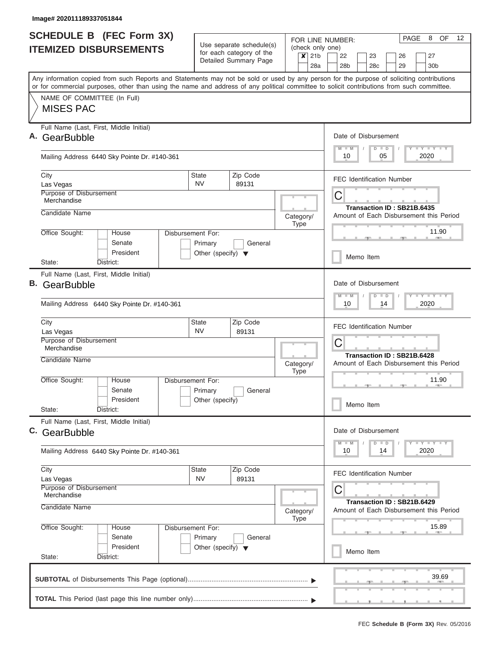| <b>SCHEDULE B (FEC Form 3X)</b><br><b>ITEMIZED DISBURSEMENTS</b>                                                                                                                                                                                                                        | Use separate schedule(s)<br>for each category of the<br>Detailed Summary Page              |                                                                            | FOR LINE NUMBER:<br>(check only one)<br>21 <sub>b</sub><br>$\boldsymbol{\mathsf{x}}$ | 8<br>OF<br>$12 \overline{ }$<br>PAGE<br>22<br>23<br>27<br>26          |  |  |  |  |
|-----------------------------------------------------------------------------------------------------------------------------------------------------------------------------------------------------------------------------------------------------------------------------------------|--------------------------------------------------------------------------------------------|----------------------------------------------------------------------------|--------------------------------------------------------------------------------------|-----------------------------------------------------------------------|--|--|--|--|
|                                                                                                                                                                                                                                                                                         |                                                                                            |                                                                            | 28a                                                                                  | 28 <sub>b</sub><br>30 <sub>b</sub><br>28c<br>29                       |  |  |  |  |
| Any information copied from such Reports and Statements may not be sold or used by any person for the purpose of soliciting contributions<br>or for commercial purposes, other than using the name and address of any political committee to solicit contributions from such committee. |                                                                                            |                                                                            |                                                                                      |                                                                       |  |  |  |  |
| NAME OF COMMITTEE (In Full)<br><b>MISES PAC</b>                                                                                                                                                                                                                                         |                                                                                            |                                                                            |                                                                                      |                                                                       |  |  |  |  |
| Full Name (Last, First, Middle Initial)<br>GearBubble                                                                                                                                                                                                                                   | Date of Disbursement<br>Y LY LY LY<br>$M$ $M$<br>$D$ $D$<br>2020<br>10<br>05               |                                                                            |                                                                                      |                                                                       |  |  |  |  |
| Mailing Address 6440 Sky Pointe Dr. #140-361                                                                                                                                                                                                                                            |                                                                                            |                                                                            |                                                                                      |                                                                       |  |  |  |  |
| City<br>Las Vegas                                                                                                                                                                                                                                                                       | <b>State</b><br><b>NV</b>                                                                  | Zip Code<br>89131                                                          |                                                                                      | <b>FEC Identification Number</b>                                      |  |  |  |  |
| Purpose of Disbursement<br>Merchandise                                                                                                                                                                                                                                                  |                                                                                            |                                                                            |                                                                                      | С<br>Transaction ID: SB21B.6435                                       |  |  |  |  |
| Candidate Name                                                                                                                                                                                                                                                                          |                                                                                            |                                                                            | Category/<br><b>Type</b>                                                             | Amount of Each Disbursement this Period                               |  |  |  |  |
| Office Sought:<br>House<br>Senate<br>President                                                                                                                                                                                                                                          | Disbursement For:<br>Primary<br>Other (specify) $\blacktriangledown$                       | General                                                                    |                                                                                      | 11.90<br>Memo Item                                                    |  |  |  |  |
| District:<br>State:                                                                                                                                                                                                                                                                     |                                                                                            |                                                                            |                                                                                      |                                                                       |  |  |  |  |
| Full Name (Last, First, Middle Initial)<br>B. GearBubble<br>Mailing Address 6440 Sky Pointe Dr. #140-361                                                                                                                                                                                | Date of Disbursement<br>$-1 - Y - 1 - Y - 1 - Y$<br>$M - M$<br>$D$ $D$<br>2020<br>10<br>14 |                                                                            |                                                                                      |                                                                       |  |  |  |  |
| City                                                                                                                                                                                                                                                                                    |                                                                                            |                                                                            |                                                                                      |                                                                       |  |  |  |  |
| Las Vegas<br>Purpose of Disbursement                                                                                                                                                                                                                                                    | Zip Code<br>89131                                                                          |                                                                            | <b>FEC Identification Number</b><br>С                                                |                                                                       |  |  |  |  |
| Merchandise<br>Candidate Name                                                                                                                                                                                                                                                           |                                                                                            |                                                                            | Category/<br><b>Type</b>                                                             | Transaction ID: SB21B.6428<br>Amount of Each Disbursement this Period |  |  |  |  |
| Office Sought:<br>Disbursement For:<br>House<br>Senate<br>President                                                                                                                                                                                                                     | General<br>Other (specify)                                                                 |                                                                            | 11.90                                                                                |                                                                       |  |  |  |  |
| State:<br>District:                                                                                                                                                                                                                                                                     |                                                                                            |                                                                            |                                                                                      | Memo Item                                                             |  |  |  |  |
| Full Name (Last, First, Middle Initial)<br>C. GearBubble                                                                                                                                                                                                                                | Date of Disbursement<br>$T$ $Y$ $T$ $Y$ $T$ $Y$<br>$M$ $M$<br>$D$ $D$                      |                                                                            |                                                                                      |                                                                       |  |  |  |  |
| Mailing Address 6440 Sky Pointe Dr. #140-361                                                                                                                                                                                                                                            | 2020<br>10<br>14                                                                           |                                                                            |                                                                                      |                                                                       |  |  |  |  |
| City<br>Las Vegas<br>Purpose of Disbursement                                                                                                                                                                                                                                            | State<br><b>NV</b>                                                                         | Zip Code<br>89131                                                          |                                                                                      | <b>FEC Identification Number</b>                                      |  |  |  |  |
| Merchandise<br>Candidate Name                                                                                                                                                                                                                                                           | Category/<br><b>Type</b>                                                                   | С<br>Transaction ID: SB21B.6429<br>Amount of Each Disbursement this Period |                                                                                      |                                                                       |  |  |  |  |
| Office Sought:<br>Disbursement For:<br>House<br>Senate                                                                                                                                                                                                                                  |                                                                                            | 15.89                                                                      |                                                                                      |                                                                       |  |  |  |  |
| President<br>State:<br>District:                                                                                                                                                                                                                                                        | Other (specify) $\blacktriangledown$                                                       |                                                                            |                                                                                      | Memo Item                                                             |  |  |  |  |
|                                                                                                                                                                                                                                                                                         |                                                                                            |                                                                            |                                                                                      | 39.69                                                                 |  |  |  |  |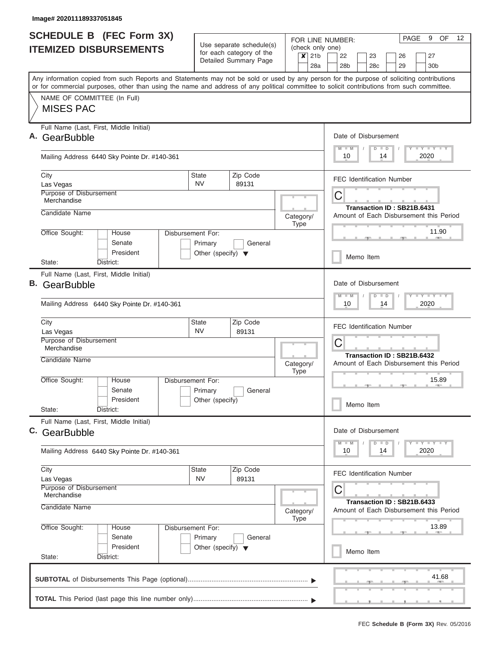| <b>SCHEDULE B</b> (FEC Form 3X) |                                                                                                                                                                                                                                                                                         |                                                                                 |                                                               |           |                           | PAGE<br>9<br>OF<br>$12 \overline{ }$<br>FOR LINE NUMBER: |                                                                                            |  |  |  |  |  |
|---------------------------------|-----------------------------------------------------------------------------------------------------------------------------------------------------------------------------------------------------------------------------------------------------------------------------------------|---------------------------------------------------------------------------------|---------------------------------------------------------------|-----------|---------------------------|----------------------------------------------------------|--------------------------------------------------------------------------------------------|--|--|--|--|--|
|                                 | <b>ITEMIZED DISBURSEMENTS</b>                                                                                                                                                                                                                                                           | Use separate schedule(s)<br>for each category of the                            |                                                               |           | $\boldsymbol{\mathsf{x}}$ | (check only one)<br>21 <sub>b</sub>                      | 22<br>23<br>27<br>26                                                                       |  |  |  |  |  |
|                                 |                                                                                                                                                                                                                                                                                         |                                                                                 | Detailed Summary Page                                         |           |                           | 28a                                                      | 28 <sub>b</sub><br>30 <sub>b</sub><br>28 <sub>c</sub><br>29                                |  |  |  |  |  |
|                                 | Any information copied from such Reports and Statements may not be sold or used by any person for the purpose of soliciting contributions<br>or for commercial purposes, other than using the name and address of any political committee to solicit contributions from such committee. |                                                                                 |                                                               |           |                           |                                                          |                                                                                            |  |  |  |  |  |
|                                 | NAME OF COMMITTEE (In Full)<br><b>MISES PAC</b>                                                                                                                                                                                                                                         |                                                                                 |                                                               |           |                           |                                                          |                                                                                            |  |  |  |  |  |
|                                 | Full Name (Last, First, Middle Initial)<br>GearBubble                                                                                                                                                                                                                                   |                                                                                 |                                                               |           |                           |                                                          | Date of Disbursement<br>Y LY LY LY<br>$M$ $M$<br>$D$ $D$                                   |  |  |  |  |  |
|                                 | Mailing Address 6440 Sky Pointe Dr. #140-361                                                                                                                                                                                                                                            |                                                                                 |                                                               |           |                           |                                                          | 2020<br>10<br>14                                                                           |  |  |  |  |  |
|                                 | City<br>Las Vegas                                                                                                                                                                                                                                                                       | <b>State</b><br><b>NV</b>                                                       | Zip Code<br>89131                                             |           |                           |                                                          | <b>FEC Identification Number</b>                                                           |  |  |  |  |  |
|                                 | Purpose of Disbursement<br>Merchandise                                                                                                                                                                                                                                                  |                                                                                 |                                                               |           |                           | С<br>Transaction ID: SB21B.6431                          |                                                                                            |  |  |  |  |  |
|                                 | Candidate Name                                                                                                                                                                                                                                                                          |                                                                                 |                                                               |           |                           | Category/                                                | Amount of Each Disbursement this Period                                                    |  |  |  |  |  |
|                                 | Office Sought:<br>House<br>Senate<br>President                                                                                                                                                                                                                                          | Disbursement For:<br>Primary<br>General<br>Other (specify) $\blacktriangledown$ |                                                               |           |                           |                                                          | 11.90                                                                                      |  |  |  |  |  |
|                                 | District:<br>State:                                                                                                                                                                                                                                                                     |                                                                                 |                                                               |           |                           |                                                          | Memo Item                                                                                  |  |  |  |  |  |
| В.                              | Full Name (Last, First, Middle Initial)<br>GearBubble<br>Mailing Address 6440 Sky Pointe Dr. #140-361                                                                                                                                                                                   |                                                                                 |                                                               |           |                           |                                                          | Date of Disbursement<br>$-1 - Y - 1 - Y - 1 - Y$<br>$M - M$<br>$D$ $D$<br>2020<br>10<br>14 |  |  |  |  |  |
|                                 | City<br>Las Vegas                                                                                                                                                                                                                                                                       | State<br><b>NV</b>                                                              | Zip Code<br>89131                                             |           |                           |                                                          | <b>FEC Identification Number</b>                                                           |  |  |  |  |  |
|                                 | Purpose of Disbursement<br>Merchandise                                                                                                                                                                                                                                                  |                                                                                 |                                                               |           |                           |                                                          | С<br>Transaction ID: SB21B.6432                                                            |  |  |  |  |  |
|                                 | Candidate Name                                                                                                                                                                                                                                                                          |                                                                                 |                                                               | Category/ | <b>Type</b>               |                                                          | Amount of Each Disbursement this Period                                                    |  |  |  |  |  |
|                                 | Office Sought:<br>Disbursement For:<br>House<br>Senate<br>Primary<br>General                                                                                                                                                                                                            |                                                                                 |                                                               |           |                           |                                                          | 15.89                                                                                      |  |  |  |  |  |
|                                 | President<br>State:<br>District:                                                                                                                                                                                                                                                        | Other (specify)                                                                 |                                                               |           |                           |                                                          | Memo Item                                                                                  |  |  |  |  |  |
|                                 | Full Name (Last, First, Middle Initial)<br>C. GearBubble                                                                                                                                                                                                                                |                                                                                 |                                                               |           |                           |                                                          | Date of Disbursement                                                                       |  |  |  |  |  |
|                                 | Mailing Address 6440 Sky Pointe Dr. #140-361                                                                                                                                                                                                                                            |                                                                                 | $Y$ $Y$ $Y$ $Y$ $Y$<br>$M$ $M$<br>$D$ $D$<br>2020<br>10<br>14 |           |                           |                                                          |                                                                                            |  |  |  |  |  |
|                                 | City<br>Las Vegas                                                                                                                                                                                                                                                                       | Zip Code<br><b>State</b><br><b>NV</b><br>89131                                  |                                                               |           |                           |                                                          | <b>FEC Identification Number</b>                                                           |  |  |  |  |  |
|                                 | Purpose of Disbursement<br>Merchandise<br>Candidate Name                                                                                                                                                                                                                                |                                                                                 |                                                               |           |                           | Category/                                                | С<br>Transaction ID: SB21B.6433<br>Amount of Each Disbursement this Period                 |  |  |  |  |  |
|                                 | Office Sought:<br>Disbursement For:<br>House<br>Senate<br>Primary<br>General                                                                                                                                                                                                            |                                                                                 |                                                               |           |                           |                                                          | 13.89                                                                                      |  |  |  |  |  |
|                                 | President<br>State:<br>District:                                                                                                                                                                                                                                                        | Other (specify) $\blacktriangledown$                                            |                                                               |           |                           | Memo Item                                                |                                                                                            |  |  |  |  |  |
|                                 |                                                                                                                                                                                                                                                                                         |                                                                                 |                                                               |           |                           |                                                          | 41.68                                                                                      |  |  |  |  |  |
|                                 |                                                                                                                                                                                                                                                                                         |                                                                                 |                                                               |           |                           |                                                          |                                                                                            |  |  |  |  |  |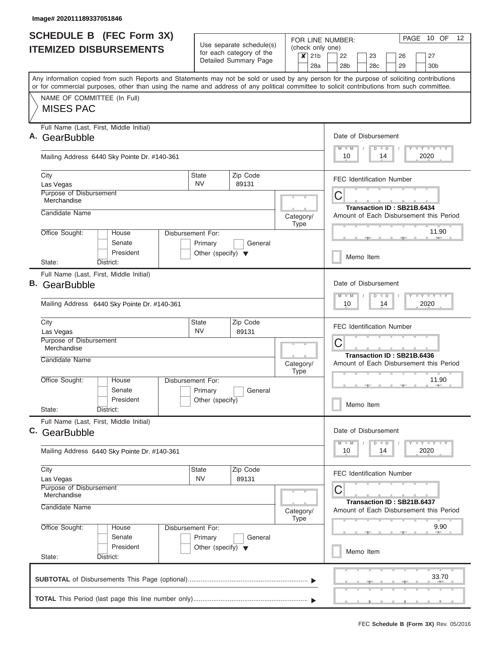| <b>ITEMIZED DISBURSEMENTS</b><br>Any information copied from such Reports and Statements may not be sold or used by any person for the purpose of soliciting contributions<br>or for commercial purposes, other than using the name and address of any political committee to solicit contributions from such committee.<br>NAME OF COMMITTEE (In Full)<br><b>MISES PAC</b><br>Full Name (Last, First, Middle Initial)<br>GearBubble<br>Mailing Address 6440 Sky Pointe Dr. #140-361<br>City |                                                            | Use separate schedule(s)<br>for each category of the<br>Detailed Summary Page |  | $\overline{\mathsf{x}}$ 21b | 28a                             | (check only one)<br>22<br>28 <sub>b</sub>                                                 |           | 23<br>28 <sub>c</sub>                                    |    | 26<br>29                                |      | 27<br>30 <sub>b</sub> |
|----------------------------------------------------------------------------------------------------------------------------------------------------------------------------------------------------------------------------------------------------------------------------------------------------------------------------------------------------------------------------------------------------------------------------------------------------------------------------------------------|------------------------------------------------------------|-------------------------------------------------------------------------------|--|-----------------------------|---------------------------------|-------------------------------------------------------------------------------------------|-----------|----------------------------------------------------------|----|-----------------------------------------|------|-----------------------|
|                                                                                                                                                                                                                                                                                                                                                                                                                                                                                              |                                                            |                                                                               |  |                             |                                 |                                                                                           |           |                                                          |    |                                         |      |                       |
|                                                                                                                                                                                                                                                                                                                                                                                                                                                                                              |                                                            |                                                                               |  |                             |                                 |                                                                                           |           |                                                          |    |                                         |      |                       |
|                                                                                                                                                                                                                                                                                                                                                                                                                                                                                              |                                                            |                                                                               |  |                             |                                 |                                                                                           |           |                                                          |    |                                         |      |                       |
|                                                                                                                                                                                                                                                                                                                                                                                                                                                                                              |                                                            |                                                                               |  |                             |                                 |                                                                                           |           | Date of Disbursement<br>Y LY LY LY<br>$M$ $M$<br>$D$ $D$ |    |                                         |      |                       |
|                                                                                                                                                                                                                                                                                                                                                                                                                                                                                              |                                                            |                                                                               |  |                             |                                 |                                                                                           |           | 2020<br>10<br>14                                         |    |                                         |      |                       |
| Las Vegas                                                                                                                                                                                                                                                                                                                                                                                                                                                                                    | Zip Code<br>State<br><b>NV</b><br>89131                    |                                                                               |  |                             |                                 | <b>FEC Identification Number</b>                                                          |           |                                                          |    |                                         |      |                       |
| Purpose of Disbursement<br>Merchandise                                                                                                                                                                                                                                                                                                                                                                                                                                                       |                                                            |                                                                               |  |                             | C<br>Transaction ID: SB21B.6434 |                                                                                           |           |                                                          |    |                                         |      |                       |
| Candidate Name                                                                                                                                                                                                                                                                                                                                                                                                                                                                               |                                                            |                                                                               |  | Category/<br><b>Type</b>    |                                 | Amount of Each Disbursement this Period                                                   |           |                                                          |    |                                         |      |                       |
| Office Sought:<br>House<br>Disbursement For:<br>Senate<br>President                                                                                                                                                                                                                                                                                                                                                                                                                          | Primary<br>General<br>Other (specify) $\blacktriangledown$ |                                                                               |  |                             |                                 |                                                                                           |           |                                                          |    |                                         |      | 11.90                 |
| District:<br>State:                                                                                                                                                                                                                                                                                                                                                                                                                                                                          |                                                            |                                                                               |  |                             |                                 |                                                                                           | Memo Item |                                                          |    |                                         |      |                       |
| Full Name (Last, First, Middle Initial)<br>В.<br>GearBubble<br>Mailing Address 6440 Sky Pointe Dr. #140-361                                                                                                                                                                                                                                                                                                                                                                                  |                                                            |                                                                               |  |                             |                                 | Date of Disbursement<br>$T - Y = T - Y = T - Y$<br>$M - M$<br>$D$ $D$<br>2020<br>10<br>14 |           |                                                          |    |                                         |      |                       |
| City<br>Las Vegas                                                                                                                                                                                                                                                                                                                                                                                                                                                                            | Zip Code<br><b>State</b><br><b>NV</b><br>89131             |                                                                               |  |                             |                                 | <b>FEC Identification Number</b>                                                          |           |                                                          |    |                                         |      |                       |
| Purpose of Disbursement<br>Merchandise<br>Candidate Name                                                                                                                                                                                                                                                                                                                                                                                                                                     |                                                            |                                                                               |  |                             | C<br>Transaction ID: SB21B.6436 |                                                                                           |           |                                                          |    |                                         |      |                       |
|                                                                                                                                                                                                                                                                                                                                                                                                                                                                                              |                                                            | Amount of Each Disbursement this Period<br>Category/<br><b>Type</b>           |  |                             |                                 |                                                                                           |           |                                                          |    |                                         |      |                       |
| Office Sought:<br>Disbursement For:<br>House<br>Senate<br>President                                                                                                                                                                                                                                                                                                                                                                                                                          | Primary<br>General<br>Other (specify)                      |                                                                               |  |                             |                                 |                                                                                           |           |                                                          |    |                                         |      | 11.90                 |
| State:<br>District:                                                                                                                                                                                                                                                                                                                                                                                                                                                                          |                                                            |                                                                               |  |                             |                                 |                                                                                           |           | Memo Item                                                |    |                                         |      |                       |
| Full Name (Last, First, Middle Initial)<br>C. GearBubble                                                                                                                                                                                                                                                                                                                                                                                                                                     |                                                            |                                                                               |  |                             |                                 | $M$ $M$                                                                                   |           | Date of Disbursement<br>$D$ $D$                          |    |                                         |      | $T$ $Y$ $Y$ $Y$ $T$   |
| Mailing Address 6440 Sky Pointe Dr. #140-361                                                                                                                                                                                                                                                                                                                                                                                                                                                 |                                                            |                                                                               |  |                             |                                 |                                                                                           | 10        |                                                          | 14 |                                         |      | 2020                  |
| City<br><b>State</b><br>Las Vegas                                                                                                                                                                                                                                                                                                                                                                                                                                                            | <b>NV</b>                                                  | Zip Code<br>89131                                                             |  |                             |                                 |                                                                                           |           |                                                          |    | <b>FEC Identification Number</b>        |      |                       |
| Purpose of Disbursement<br>Merchandise<br>Candidate Name                                                                                                                                                                                                                                                                                                                                                                                                                                     | Category/                                                  | <b>Type</b>                                                                   |  | С                           |                                 |                                                                                           |           | Transaction ID: SB21B.6437                               |    | Amount of Each Disbursement this Period |      |                       |
| Office Sought:<br>Disbursement For:<br>House<br>Senate<br>Primary<br>President                                                                                                                                                                                                                                                                                                                                                                                                               | General<br>Other (specify) $\blacktriangledown$            |                                                                               |  |                             |                                 |                                                                                           |           |                                                          |    |                                         | 9.90 |                       |
| State:<br>District:                                                                                                                                                                                                                                                                                                                                                                                                                                                                          |                                                            |                                                                               |  |                             |                                 | Memo Item                                                                                 |           |                                                          |    |                                         |      |                       |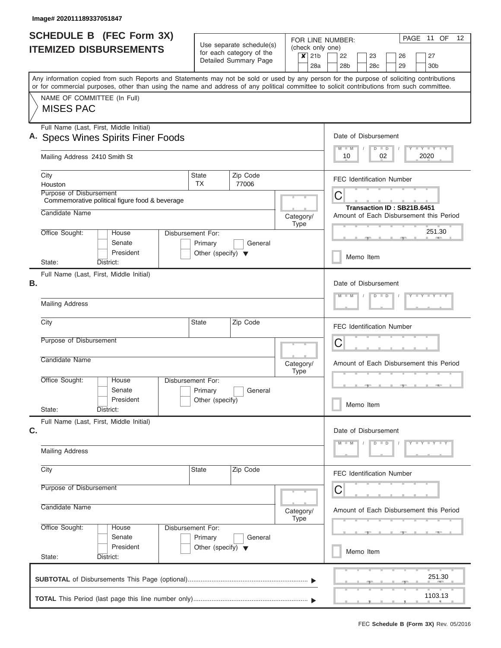| SCHEDULE B (FEC Form 3X)                                                                                                                                                                                                                                                                |                                                      |                       | FOR LINE NUMBER:            | PAGE 11 OF<br>12                                            |  |  |  |  |
|-----------------------------------------------------------------------------------------------------------------------------------------------------------------------------------------------------------------------------------------------------------------------------------------|------------------------------------------------------|-----------------------|-----------------------------|-------------------------------------------------------------|--|--|--|--|
| <b>ITEMIZED DISBURSEMENTS</b>                                                                                                                                                                                                                                                           | Use separate schedule(s)<br>for each category of the |                       | (check only one)<br>$x$ 21b | 27<br>22<br>23<br>26                                        |  |  |  |  |
|                                                                                                                                                                                                                                                                                         |                                                      | Detailed Summary Page | 28a                         | 28 <sub>b</sub><br>28 <sub>c</sub><br>29<br>30 <sub>b</sub> |  |  |  |  |
| Any information copied from such Reports and Statements may not be sold or used by any person for the purpose of soliciting contributions<br>or for commercial purposes, other than using the name and address of any political committee to solicit contributions from such committee. |                                                      |                       |                             |                                                             |  |  |  |  |
| NAME OF COMMITTEE (In Full)<br><b>MISES PAC</b>                                                                                                                                                                                                                                         |                                                      |                       |                             |                                                             |  |  |  |  |
|                                                                                                                                                                                                                                                                                         |                                                      |                       |                             |                                                             |  |  |  |  |
| Full Name (Last, First, Middle Initial)<br>A. Specs Wines Spirits Finer Foods                                                                                                                                                                                                           | Date of Disbursement                                 |                       |                             |                                                             |  |  |  |  |
| Mailing Address 2410 Smith St                                                                                                                                                                                                                                                           | Y FY FY FY<br>$D$ $D$<br>$M$ $M$<br>02<br>2020<br>10 |                       |                             |                                                             |  |  |  |  |
| City<br>Houston                                                                                                                                                                                                                                                                         | State<br>TX.                                         | Zip Code<br>77006     |                             | <b>FEC Identification Number</b>                            |  |  |  |  |
| Purpose of Disbursement<br>Commemorative political figure food & beverage                                                                                                                                                                                                               |                                                      |                       |                             | C<br>Transaction ID: SB21B.6451                             |  |  |  |  |
| Candidate Name                                                                                                                                                                                                                                                                          |                                                      |                       |                             |                                                             |  |  |  |  |
| Office Sought:<br>House<br>Senate                                                                                                                                                                                                                                                       | Disbursement For:<br>Primary                         | General               | <b>Type</b>                 | 251.30                                                      |  |  |  |  |
| President<br>State:<br>District:                                                                                                                                                                                                                                                        | Other (specify) $\blacktriangledown$                 |                       |                             | Memo Item                                                   |  |  |  |  |
| Full Name (Last, First, Middle Initial)                                                                                                                                                                                                                                                 |                                                      |                       |                             |                                                             |  |  |  |  |
| В.                                                                                                                                                                                                                                                                                      |                                                      |                       |                             |                                                             |  |  |  |  |
| <b>Mailing Address</b>                                                                                                                                                                                                                                                                  |                                                      |                       |                             |                                                             |  |  |  |  |
| City                                                                                                                                                                                                                                                                                    | <b>State</b>                                         | Zip Code              |                             | <b>FEC Identification Number</b>                            |  |  |  |  |
| Purpose of Disbursement                                                                                                                                                                                                                                                                 |                                                      |                       |                             | C                                                           |  |  |  |  |
| Candidate Name                                                                                                                                                                                                                                                                          |                                                      |                       | Category/<br><b>Type</b>    | Amount of Each Disbursement this Period                     |  |  |  |  |
| Office Sought:<br>House<br>Senate                                                                                                                                                                                                                                                       | Disbursement For:<br>Primary                         | General               |                             |                                                             |  |  |  |  |
| President<br>State:<br>District:                                                                                                                                                                                                                                                        | Other (specify)                                      |                       |                             | Memo Item                                                   |  |  |  |  |
| Full Name (Last, First, Middle Initial)                                                                                                                                                                                                                                                 |                                                      |                       |                             | Date of Disbursement                                        |  |  |  |  |
| C.                                                                                                                                                                                                                                                                                      |                                                      |                       |                             |                                                             |  |  |  |  |
| <b>Mailing Address</b>                                                                                                                                                                                                                                                                  |                                                      |                       |                             |                                                             |  |  |  |  |
| City                                                                                                                                                                                                                                                                                    | State                                                | Zip Code              |                             | FEC Identification Number                                   |  |  |  |  |
| Purpose of Disbursement                                                                                                                                                                                                                                                                 |                                                      |                       |                             |                                                             |  |  |  |  |
| Candidate Name                                                                                                                                                                                                                                                                          | Category/<br><b>Type</b>                             |                       |                             |                                                             |  |  |  |  |
|                                                                                                                                                                                                                                                                                         | Disbursement For:                                    |                       |                             |                                                             |  |  |  |  |
| Office Sought:<br>House                                                                                                                                                                                                                                                                 |                                                      |                       |                             |                                                             |  |  |  |  |
| Senate<br>President                                                                                                                                                                                                                                                                     | Primary<br>Other (specify) $\blacktriangledown$      | General               |                             | Memo Item                                                   |  |  |  |  |
| State:<br>District:                                                                                                                                                                                                                                                                     |                                                      |                       |                             |                                                             |  |  |  |  |
|                                                                                                                                                                                                                                                                                         |                                                      |                       |                             | 251.30                                                      |  |  |  |  |